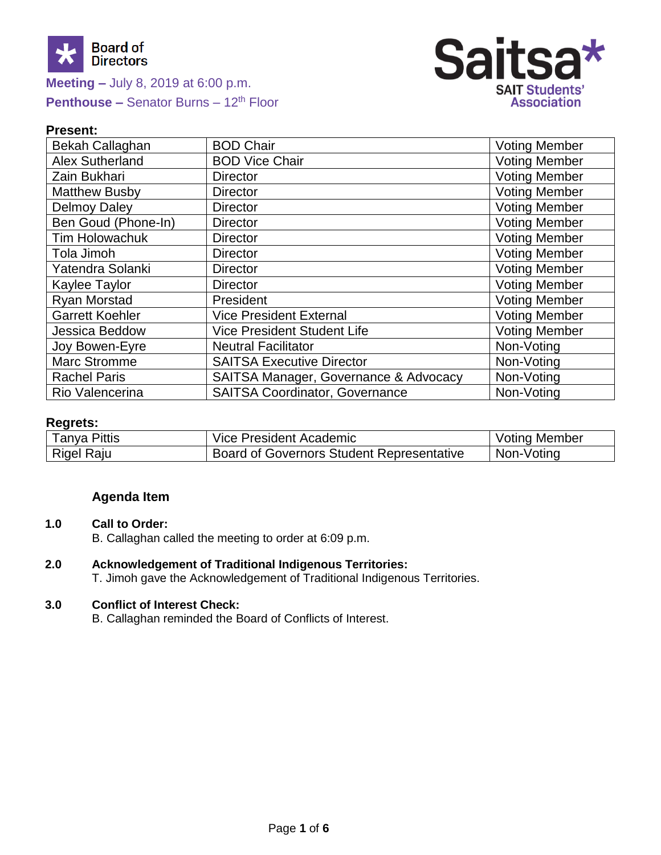



## **Present:**

| Bekah Callaghan        | <b>BOD Chair</b>                      | <b>Voting Member</b> |
|------------------------|---------------------------------------|----------------------|
| <b>Alex Sutherland</b> | <b>BOD Vice Chair</b>                 | <b>Voting Member</b> |
| Zain Bukhari           | <b>Director</b>                       | <b>Voting Member</b> |
| <b>Matthew Busby</b>   | <b>Director</b>                       | <b>Voting Member</b> |
| <b>Delmoy Daley</b>    | <b>Director</b>                       | <b>Voting Member</b> |
| Ben Goud (Phone-In)    | <b>Director</b>                       | <b>Voting Member</b> |
| <b>Tim Holowachuk</b>  | <b>Director</b>                       | <b>Voting Member</b> |
| Tola Jimoh             | <b>Director</b>                       | <b>Voting Member</b> |
| Yatendra Solanki       | <b>Director</b>                       | <b>Voting Member</b> |
| Kaylee Taylor          | <b>Director</b>                       | <b>Voting Member</b> |
| <b>Ryan Morstad</b>    | President                             | <b>Voting Member</b> |
| <b>Garrett Koehler</b> | <b>Vice President External</b>        | <b>Voting Member</b> |
| Jessica Beddow         | Vice President Student Life           | <b>Voting Member</b> |
| Joy Bowen-Eyre         | <b>Neutral Facilitator</b>            | Non-Voting           |
| <b>Marc Stromme</b>    | <b>SAITSA Executive Director</b>      | Non-Voting           |
| <b>Rachel Paris</b>    | SAITSA Manager, Governance & Advocacy | Non-Voting           |
| Rio Valencerina        | <b>SAITSA Coordinator, Governance</b> | Non-Voting           |

## **Regrets:**

| <b>Fanya Pittis</b> | Vice President Academic                   | , Member<br>∨otinq . |
|---------------------|-------------------------------------------|----------------------|
| <b>Rigel Raju</b>   | Board of Governors Student Representative | Non-Voting           |

# **Agenda Item**

# **1.0 Call to Order:**

B. Callaghan called the meeting to order at 6:09 p.m.

# **2.0 Acknowledgement of Traditional Indigenous Territories:**

T. Jimoh gave the Acknowledgement of Traditional Indigenous Territories.

#### **3.0 Conflict of Interest Check:**

B. Callaghan reminded the Board of Conflicts of Interest.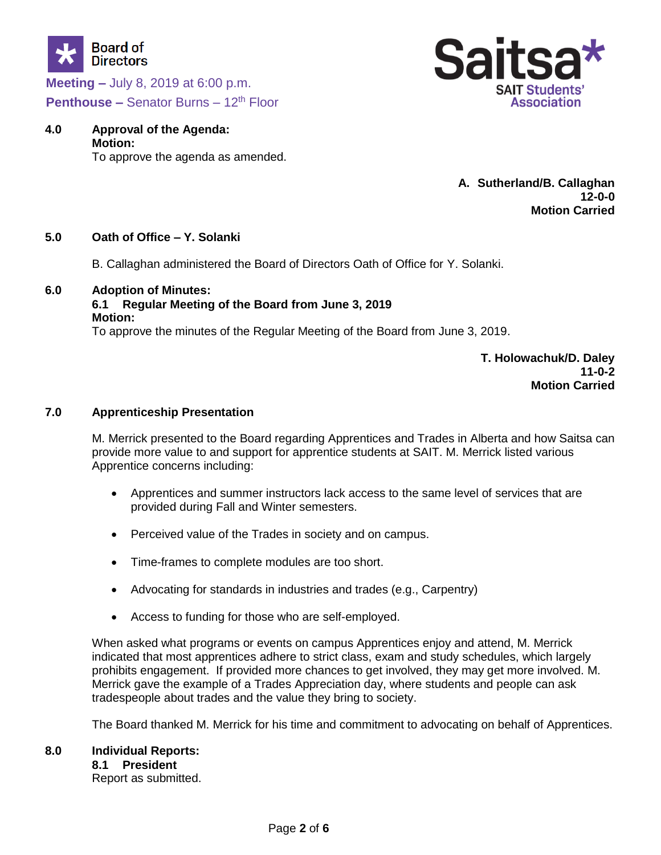



# **4.0 Approval of the Agenda: Motion:**

To approve the agenda as amended.

**A. Sutherland/B. Callaghan 12-0-0 Motion Carried**

## **5.0 Oath of Office – Y. Solanki**

B. Callaghan administered the Board of Directors Oath of Office for Y. Solanki.

## **6.0 Adoption of Minutes:**

## **6.1 Regular Meeting of the Board from June 3, 2019 Motion:**

To approve the minutes of the Regular Meeting of the Board from June 3, 2019.

**T. Holowachuk/D. Daley 11-0-2 Motion Carried**

#### **7.0 Apprenticeship Presentation**

M. Merrick presented to the Board regarding Apprentices and Trades in Alberta and how Saitsa can provide more value to and support for apprentice students at SAIT. M. Merrick listed various Apprentice concerns including:

- Apprentices and summer instructors lack access to the same level of services that are provided during Fall and Winter semesters.
- Perceived value of the Trades in society and on campus.
- Time-frames to complete modules are too short.
- Advocating for standards in industries and trades (e.g., Carpentry)
- Access to funding for those who are self-employed.

When asked what programs or events on campus Apprentices enjoy and attend, M. Merrick indicated that most apprentices adhere to strict class, exam and study schedules, which largely prohibits engagement. If provided more chances to get involved, they may get more involved. M. Merrick gave the example of a Trades Appreciation day, where students and people can ask tradespeople about trades and the value they bring to society.

The Board thanked M. Merrick for his time and commitment to advocating on behalf of Apprentices.

# **8.0 Individual Reports: 8.1 President**

Report as submitted.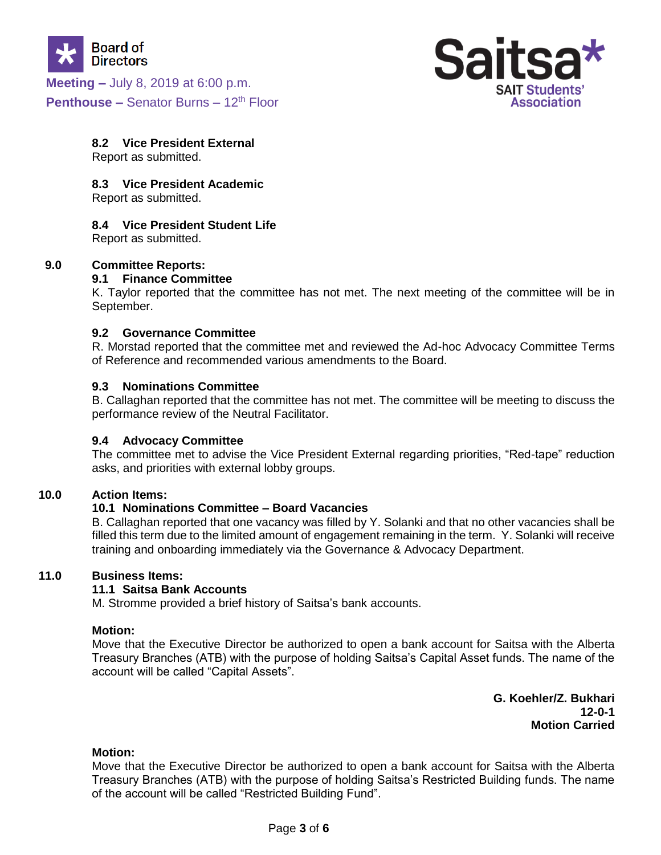



# **8.2 Vice President External**

Report as submitted.

#### **8.3 Vice President Academic**

Report as submitted.

#### **8.4 Vice President Student Life**

Report as submitted.

#### **9.0 Committee Reports:**

#### **9.1 Finance Committee**

K. Taylor reported that the committee has not met. The next meeting of the committee will be in September.

#### **9.2 Governance Committee**

R. Morstad reported that the committee met and reviewed the Ad-hoc Advocacy Committee Terms of Reference and recommended various amendments to the Board.

#### **9.3 Nominations Committee**

B. Callaghan reported that the committee has not met. The committee will be meeting to discuss the performance review of the Neutral Facilitator.

## **9.4 Advocacy Committee**

The committee met to advise the Vice President External regarding priorities, "Red-tape" reduction asks, and priorities with external lobby groups.

#### **10.0 Action Items:**

## **10.1 Nominations Committee – Board Vacancies**

B. Callaghan reported that one vacancy was filled by Y. Solanki and that no other vacancies shall be filled this term due to the limited amount of engagement remaining in the term. Y. Solanki will receive training and onboarding immediately via the Governance & Advocacy Department.

#### **11.0 Business Items:**

## **11.1 Saitsa Bank Accounts**

M. Stromme provided a brief history of Saitsa's bank accounts.

#### **Motion:**

Move that the Executive Director be authorized to open a bank account for Saitsa with the Alberta Treasury Branches (ATB) with the purpose of holding Saitsa's Capital Asset funds. The name of the account will be called "Capital Assets".

> **G. Koehler/Z. Bukhari 12-0-1 Motion Carried**

#### **Motion:**

Move that the Executive Director be authorized to open a bank account for Saitsa with the Alberta Treasury Branches (ATB) with the purpose of holding Saitsa's Restricted Building funds. The name of the account will be called "Restricted Building Fund".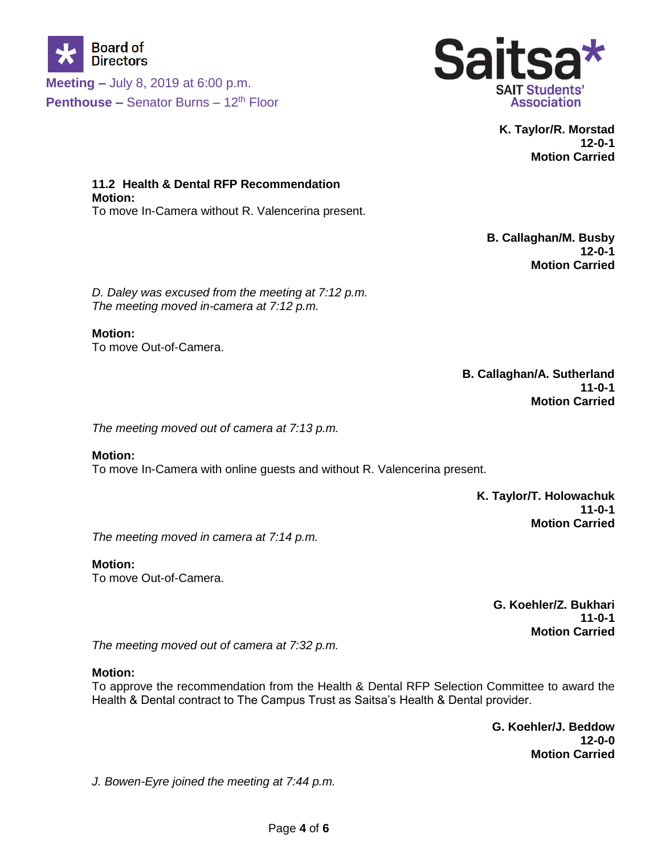



**K. Taylor/R. Morstad 12-0-1 Motion Carried**

**11.2 Health & Dental RFP Recommendation Motion:** To move In-Camera without R. Valencerina present.

> **B. Callaghan/M. Busby 12-0-1 Motion Carried**

*D. Daley was excused from the meeting at 7:12 p.m. The meeting moved in-camera at 7:12 p.m.*

# **Motion:**

To move Out-of-Camera.

**B. Callaghan/A. Sutherland 11-0-1 Motion Carried**

*The meeting moved out of camera at 7:13 p.m.*

**Motion:** To move In-Camera with online guests and without R. Valencerina present.

> **K. Taylor/T. Holowachuk 11-0-1 Motion Carried**

*The meeting moved in camera at 7:14 p.m.*

**Motion:** To move Out-of-Camera.

> **G. Koehler/Z. Bukhari 11-0-1 Motion Carried**

*The meeting moved out of camera at 7:32 p.m.*

## **Motion:**

To approve the recommendation from the Health & Dental RFP Selection Committee to award the Health & Dental contract to The Campus Trust as Saitsa's Health & Dental provider.

> **G. Koehler/J. Beddow 12-0-0 Motion Carried**

*J. Bowen-Eyre joined the meeting at 7:44 p.m.*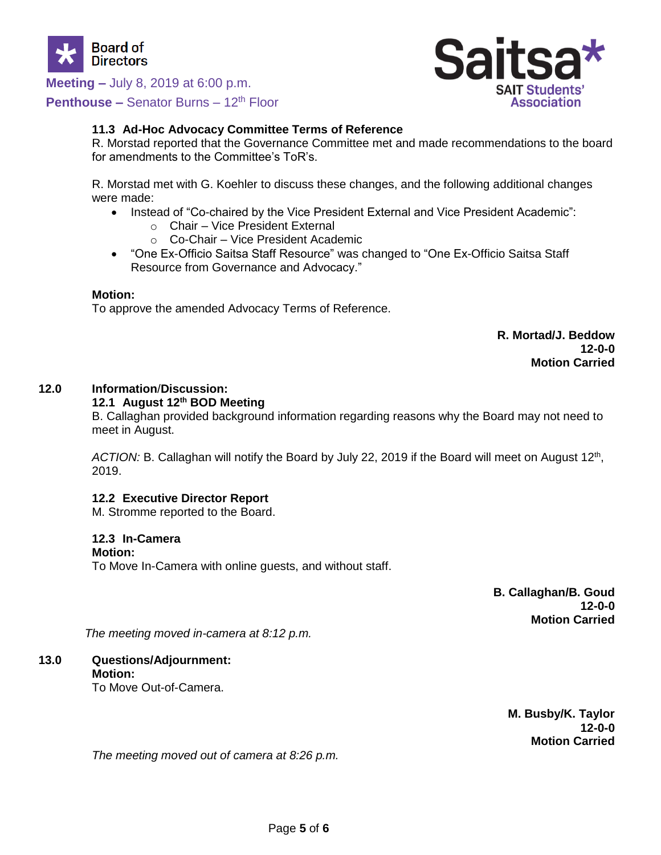

# **Meeting –** July 8, 2019 at 6:00 p.m.

**Penthouse –** Senator Burns – 12<sup>th</sup> Floor



## **11.3 Ad-Hoc Advocacy Committee Terms of Reference**

R. Morstad reported that the Governance Committee met and made recommendations to the board for amendments to the Committee's ToR's.

R. Morstad met with G. Koehler to discuss these changes, and the following additional changes were made:

- Instead of "Co-chaired by the Vice President External and Vice President Academic":
	- o Chair Vice President External
	- o Co-Chair Vice President Academic
- "One Ex-Officio Saitsa Staff Resource" was changed to "One Ex-Officio Saitsa Staff Resource from Governance and Advocacy."

#### **Motion:**

To approve the amended Advocacy Terms of Reference.

**R. Mortad/J. Beddow 12-0-0 Motion Carried**

#### **12.0 Information**/**Discussion:**

#### **12.1 August 12th BOD Meeting**

B. Callaghan provided background information regarding reasons why the Board may not need to meet in August.

ACTION: B. Callaghan will notify the Board by July 22, 2019 if the Board will meet on August 12<sup>th</sup>, 2019.

#### **12.2 Executive Director Report**

M. Stromme reported to the Board.

#### **12.3 In-Camera**

#### **Motion:**

To Move In-Camera with online guests, and without staff.

**B. Callaghan/B. Goud 12-0-0 Motion Carried**

*The meeting moved in-camera at 8:12 p.m.*

# **13.0 Questions/Adjournment: Motion:**

To Move Out-of-Camera.

**M. Busby/K. Taylor 12-0-0 Motion Carried**

*The meeting moved out of camera at 8:26 p.m.*